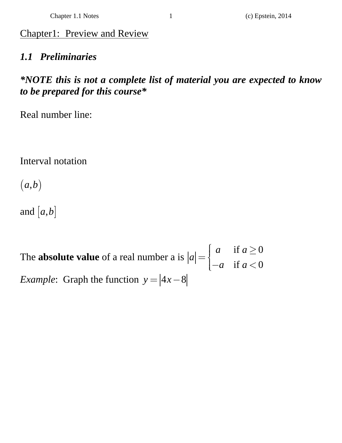# Chapter1: Preview and Review

# *1.1 Preliminaries*

# *\*NOTE this is not a complete list of material you are expected to know to be prepared for this course\**

Real number line:

Interval notation

 $(a,b)$ 

and  $[a, b]$ 

The **absolute value** of a real number a is if  $a \geq 0$ if  $a < 0$ *a a a a a*  $=\begin{cases} a & \text{if } a \geq 0 \\ 0 & \text{if } a > 0 \end{cases}$  $\begin{cases} -a & \text{if } a < \end{cases}$ *Example*: Graph the function  $y = |4x-8|$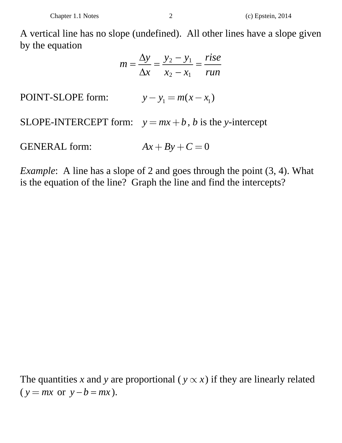A vertical line has no slope (undefined). All other lines have a slope given by the equation

$$
m = \frac{\Delta y}{\Delta x} = \frac{y_2 - y_1}{x_2 - x_1} = \frac{rise}{run}
$$

POINT-SLOPE form:  $y - y_1 = m(x - x_1)$ 

SLOPE-INTERCEPT form:  $y = mx + b$ , *b* is the *y*-intercept

GENERAL form:  $Ax + By + C = 0$ 

*Example*: A line has a slope of 2 and goes through the point (3, 4). What is the equation of the line? Graph the line and find the intercepts?

The quantities x and y are proportional ( $y \propto x$ ) if they are linearly related  $(y = mx \text{ or } y - b = mx).$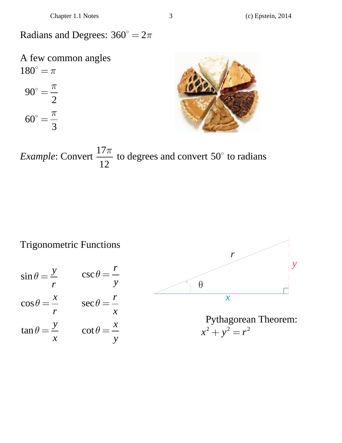Radians and Degrees:  $360^\circ = 2\pi$ 

A few common angles  $180^{\circ} = \pi$ 

$$
90^\circ = \frac{\pi}{2}
$$

$$
60^\circ = \frac{\pi}{3}
$$



*Example*: Convert  $\frac{17}{17}$ 12  $\frac{\pi}{2}$  to degrees and convert 50° to radians

Trigonometric Functions

$$
\sin \theta = \frac{y}{r} \qquad \csc \theta = \frac{r}{y}
$$

$$
\cos \theta = \frac{x}{r} \qquad \sec \theta = \frac{r}{x}
$$

$$
\tan \theta = \frac{y}{x} \qquad \cot \theta = \frac{x}{y}
$$



Pythagorean Theorem:  $x^2 + y^2 = r^2$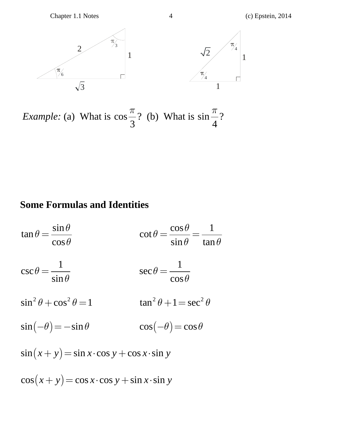Chapter 1.1 Notes 4 (c) Epstein, 2014





*Example:* (a) What is cos 3  $\frac{\pi}{2}$ ? (b) What is sin 4  $\frac{\pi}{2}$ ?

## **Some Formulas and Identities**

sin tan cos  $\theta = \frac{\sin \theta}{\cos \theta}$  $=\frac{\sin \theta}{\cos \theta}$ 1 csc sin  $\theta = \frac{1}{\sin \theta}$  $\sin^2 \theta + \cos^2 \theta = 1$  $\sin (-\theta) = -\sin \theta$  $\cos \theta$  1 cot  $\sin \theta$  tan  $\theta = \frac{\cos \theta}{\cos \theta}$  $=\frac{\cos \theta}{\sin \theta} = \frac{1}{\tan \theta}$ 1 sec cos  $\theta = \frac{1}{\cos \theta}$  $\tan^2 \theta + 1 = \sec^2 \theta$  $\cos(-\theta) = \cos\theta$  $\sin (x + y) = \sin x \cdot \cos y + \cos x \cdot \sin y$  $\cos(x + y) = \cos x \cdot \cos y + \sin x \cdot \sin y$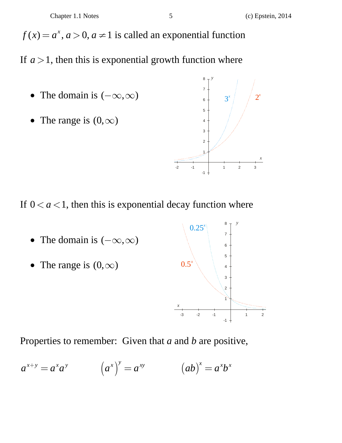$f(x) = a^x, a > 0, a \ne 1$  is called an exponential function

If  $a > 1$ , then this is exponential growth function where

- The domain is  $(-\infty, \infty)$
- The range is  $(0, \infty)$



If  $0 < a < 1$ , then this is exponential decay function where

- The domain is  $(-\infty, \infty)$
- The range is  $(0, \infty)$



Properties to remember: Given that *a* and *b* are positive,

$$
a^{x+y} = a^x a^y \qquad (a^x)^y = a^{xy} \qquad (ab)^x = a^x b^x
$$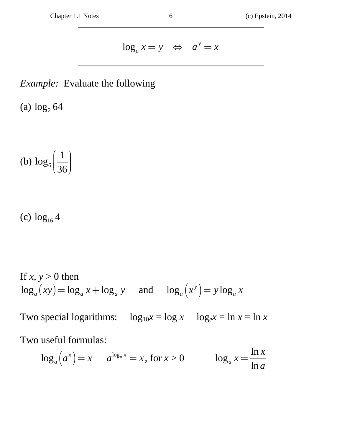$$
\log_a x = y \quad \Leftrightarrow \quad a^y = x
$$

# *Example:* Evaluate the following

(a)  $\log_2 64$ 

(b) 
$$
\log_6 \left( \frac{1}{36} \right)
$$

(c)  $\log_{16} 4$ 

If 
$$
x, y > 0
$$
 then  
\n
$$
\log_a(xy) = \log_a x + \log_a y \quad \text{and} \quad \log_a(x^y) = y \log_a x
$$

Two special logarithms:  $\log_{10} x = \log x \quad \log_e x = \ln x = \ln x$ 

Two useful formulas:

$$
\log_a\left(a^x\right) = x \qquad a^{\log_a x} = x \text{, for } x > 0 \qquad \qquad \log_a x = \frac{\ln x}{\ln a}
$$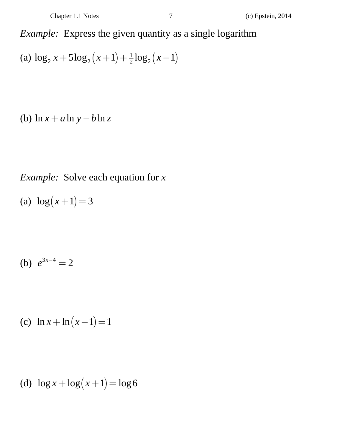*Example:* Express the given quantity as a single logarithm

(a) 
$$
\log_2 x + 5\log_2 (x+1) + \frac{1}{2}\log_2 (x-1)
$$

(b)  $\ln x + a \ln y - b \ln z$ 

*Example:* Solve each equation for *x* 

(a)  $\log(x+1) = 3$ 

(b)  $e^{3x-4} = 2$ 

(c)  $\ln x + \ln (x - 1) = 1$ 

(d)  $\log x + \log(x+1) = \log 6$